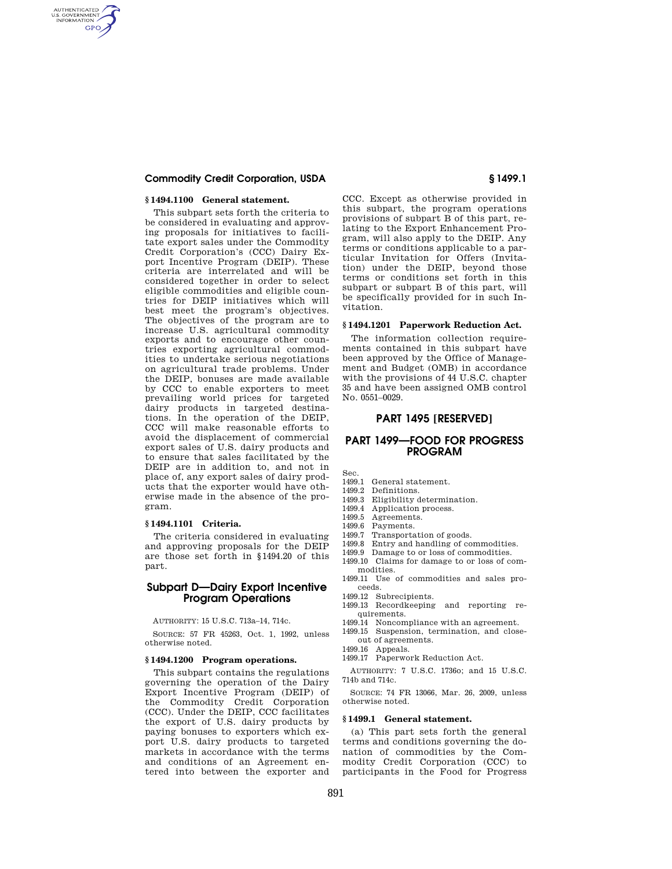## **Commodity Credit Corporation, USDA § 1499.1**

### **§ 1494.1100 General statement.**

AUTHENTICATED<br>U.S. GOVERNMENT<br>INFORMATION **GPO** 

> This subpart sets forth the criteria to be considered in evaluating and approving proposals for initiatives to facilitate export sales under the Commodity Credit Corporation's (CCC) Dairy Export Incentive Program (DEIP). These criteria are interrelated and will be considered together in order to select eligible commodities and eligible countries for DEIP initiatives which will best meet the program's objectives. The objectives of the program are to increase U.S. agricultural commodity exports and to encourage other countries exporting agricultural commodities to undertake serious negotiations on agricultural trade problems. Under the DEIP, bonuses are made available by CCC to enable exporters to meet prevailing world prices for targeted dairy products in targeted destinations. In the operation of the DEIP, CCC will make reasonable efforts to avoid the displacement of commercial export sales of U.S. dairy products and to ensure that sales facilitated by the DEIP are in addition to, and not in place of, any export sales of dairy products that the exporter would have otherwise made in the absence of the program.

## **§ 1494.1101 Criteria.**

The criteria considered in evaluating and approving proposals for the DEIP are those set forth in §1494.20 of this part.

# **Subpart D—Dairy Export Incentive Program Operations**

AUTHORITY: 15 U.S.C. 713a–14, 714c.

SOURCE: 57 FR 45263, Oct. 1, 1992, unless otherwise noted.

#### **§ 1494.1200 Program operations.**

This subpart contains the regulations governing the operation of the Dairy Export Incentive Program (DEIP) of the Commodity Credit Corporation (CCC). Under the DEIP, CCC facilitates the export of U.S. dairy products by paying bonuses to exporters which export U.S. dairy products to targeted markets in accordance with the terms and conditions of an Agreement entered into between the exporter and

CCC. Except as otherwise provided in this subpart, the program operations provisions of subpart B of this part, relating to the Export Enhancement Program, will also apply to the DEIP. Any terms or conditions applicable to a particular Invitation for Offers (Invitation) under the DEIP, beyond those terms or conditions set forth in this subpart or subpart B of this part, will be specifically provided for in such Invitation.

#### **§ 1494.1201 Paperwork Reduction Act.**

The information collection requirements contained in this subpart have been approved by the Office of Management and Budget (OMB) in accordance with the provisions of 44 U.S.C. chapter 35 and have been assigned OMB control No. 0551–0029.

## **PART 1495 [RESERVED]**

# **PART 1499—FOOD FOR PROGRESS PROGRAM**

Sec.

- 1499.1 General statement.
- 1499.2 Definitions. 1499.3 Eligibility determination.
- 1499.4 Application process.
- 
- 1499.5 Agreements.
- 1499.6 Payments.
- 1499.7 Transportation of goods.
- 1499.8 Entry and handling of commodities.
- 1499.9 Damage to or loss of commodities. 1499.10 Claims for damage to or loss of com-
- modities. 1499.11 Use of commodities and sales pro-
- ceeds.
- 1499.12 Subrecipients.
- 1499.13 Recordkeeping and reporting requirements.
- 1499.14 Noncompliance with an agreement.
- 1499.15 Suspension, termination, and closeout of agreements.
- 1499.16 Appeals.
- 1499.17 Paperwork Reduction Act.

AUTHORITY: 7 U.S.C. 1736o; and 15 U.S.C. 714b and 714c.

SOURCE: 74 FR 13066, Mar. 26, 2009, unless otherwise noted.

# **§ 1499.1 General statement.**

(a) This part sets forth the general terms and conditions governing the donation of commodities by the Commodity Credit Corporation (CCC) to participants in the Food for Progress